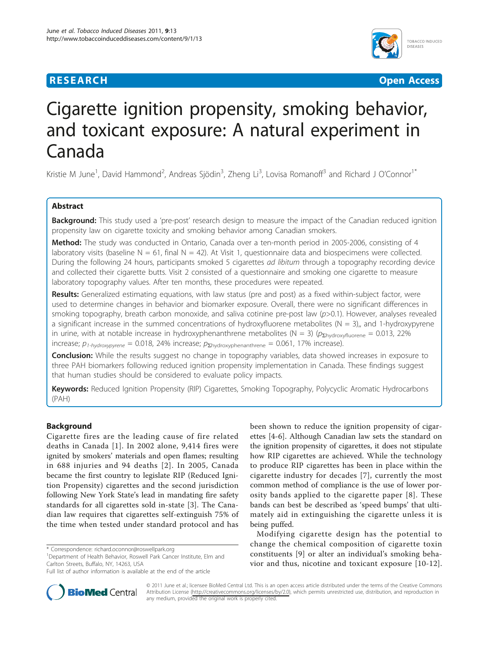# **RESEARCH CHRISTIAN CONSUMING CONTRACT CONSUMING CONSUMING CONSUMING CONSUMING CONSUMING CONSUMING CONSUMING CO**



# Cigarette ignition propensity, smoking behavior, and toxicant exposure: A natural experiment in Canada

Kristie M June<sup>1</sup>, David Hammond<sup>2</sup>, Andreas Sjödin<sup>3</sup>, Zheng Li<sup>3</sup>, Lovisa Romanoff<sup>3</sup> and Richard J O'Connor<sup>1\*</sup>

# Abstract

Background: This study used a 'pre-post' research design to measure the impact of the Canadian reduced ignition propensity law on cigarette toxicity and smoking behavior among Canadian smokers.

Method: The study was conducted in Ontario, Canada over a ten-month period in 2005-2006, consisting of 4 laboratory visits (baseline  $N = 61$ , final  $N = 42$ ). At Visit 1, questionnaire data and biospecimens were collected. During the following 24 hours, participants smoked 5 cigarettes *ad libitum* through a topography recording device and collected their cigarette butts. Visit 2 consisted of a questionnaire and smoking one cigarette to measure laboratory topography values. After ten months, these procedures were repeated.

Results: Generalized estimating equations, with law status (pre and post) as a fixed within-subject factor, were used to determine changes in behavior and biomarker exposure. Overall, there were no significant differences in smoking topography, breath carbon monoxide, and saliva cotinine pre-post law  $(p>0.1)$ . However, analyses revealed a significant increase in the summed concentrations of hydroxyfluorene metabolites ( $N = 3$ ),, and 1-hydroxypyrene in urine, with at notable increase in hydroxyphenanthrene metabolites (N = 3) ( $p_{\text{zhotroxofluorene}} = 0.013$ , 22% increase;  $p_{1-hydroxypyrene} = 0.018$ , 24% increase;  $p_{\Sigma\text{hydroxyphenanthrene}} = 0.061$ , 17% increase).

**Conclusion:** While the results suggest no change in topography variables, data showed increases in exposure to three PAH biomarkers following reduced ignition propensity implementation in Canada. These findings suggest that human studies should be considered to evaluate policy impacts.

Keywords: Reduced Ignition Propensity (RIP) Cigarettes, Smoking Topography, Polycyclic Aromatic Hydrocarbons (PAH)

# Background

Cigarette fires are the leading cause of fire related deaths in Canada [[1\]](#page-6-0). In 2002 alone, 9,414 fires were ignited by smokers' materials and open flames; resulting in 688 injuries and 94 deaths [[2\]](#page-6-0). In 2005, Canada became the first country to legislate RIP (Reduced Ignition Propensity) cigarettes and the second jurisdiction following New York State's lead in mandating fire safety standards for all cigarettes sold in-state [\[3\]](#page-6-0). The Canadian law requires that cigarettes self-extinguish 75% of the time when tested under standard protocol and has

\* Correspondence: [richard.oconnor@roswellpark.org](mailto:richard.oconnor@roswellpark.org)

<sup>1</sup>Department of Health Behavior, Roswell Park Cancer Institute, Elm and Carlton Streets, Buffalo, NY, 14263, USA

been shown to reduce the ignition propensity of cigarettes [\[4](#page-6-0)-[6\]](#page-6-0). Although Canadian law sets the standard on the ignition propensity of cigarettes, it does not stipulate how RIP cigarettes are achieved. While the technology to produce RIP cigarettes has been in place within the cigarette industry for decades [[7](#page-6-0)], currently the most common method of compliance is the use of lower porosity bands applied to the cigarette paper [[8](#page-6-0)]. These bands can best be described as 'speed bumps' that ultimately aid in extinguishing the cigarette unless it is being puffed.

Modifying cigarette design has the potential to change the chemical composition of cigarette toxin constituents [\[9](#page-6-0)] or alter an individual's smoking behavior and thus, nicotine and toxicant exposure [[10](#page-6-0)-[12](#page-6-0)].



© 2011 June et al.; licensee BioMed Central Ltd. This is an open access article distributed under the terms of the Creative Commons Attribution License (http://creativecommons.org/licenses/by/2.0), which permits unrestricted use, distribution, and reproduction in any medium, provided the original work is properly cited.

Full list of author information is available at the end of the article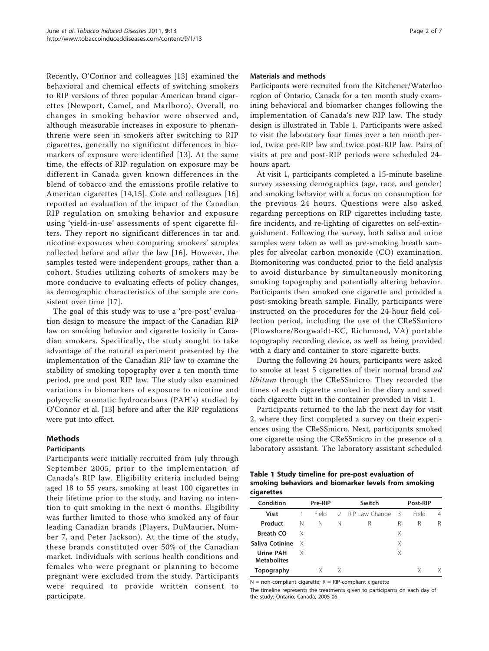Recently, O'Connor and colleagues [\[13\]](#page-6-0) examined the behavioral and chemical effects of switching smokers to RIP versions of three popular American brand cigarettes (Newport, Camel, and Marlboro). Overall, no changes in smoking behavior were observed and, although measurable increases in exposure to phenanthrene were seen in smokers after switching to RIP cigarettes, generally no significant differences in biomarkers of exposure were identified [[13\]](#page-6-0). At the same time, the effects of RIP regulation on exposure may be different in Canada given known differences in the blend of tobacco and the emissions profile relative to American cigarettes [\[14,15](#page-6-0)]. Cote and colleagues [[16](#page-6-0)] reported an evaluation of the impact of the Canadian RIP regulation on smoking behavior and exposure using 'yield-in-use' assessments of spent cigarette filters. They report no significant differences in tar and nicotine exposures when comparing smokers' samples collected before and after the law [[16\]](#page-6-0). However, the samples tested were independent groups, rather than a cohort. Studies utilizing cohorts of smokers may be more conducive to evaluating effects of policy changes, as demographic characteristics of the sample are consistent over time [[17\]](#page-6-0).

The goal of this study was to use a 'pre-post' evaluation design to measure the impact of the Canadian RIP law on smoking behavior and cigarette toxicity in Canadian smokers. Specifically, the study sought to take advantage of the natural experiment presented by the implementation of the Canadian RIP law to examine the stability of smoking topography over a ten month time period, pre and post RIP law. The study also examined variations in biomarkers of exposure to nicotine and polycyclic aromatic hydrocarbons (PAH's) studied by O'Connor et al. [[13\]](#page-6-0) before and after the RIP regulations were put into effect.

# Methods

# Participants

Participants were initially recruited from July through September 2005, prior to the implementation of Canada's RIP law. Eligibility criteria included being aged 18 to 55 years, smoking at least 100 cigarettes in their lifetime prior to the study, and having no intention to quit smoking in the next 6 months. Eligibility was further limited to those who smoked any of four leading Canadian brands (Players, DuMaurier, Number 7, and Peter Jackson). At the time of the study, these brands constituted over 50% of the Canadian market. Individuals with serious health conditions and females who were pregnant or planning to become pregnant were excluded from the study. Participants were required to provide written consent to participate.

# Materials and methods

Participants were recruited from the Kitchener/Waterloo region of Ontario, Canada for a ten month study examining behavioral and biomarker changes following the implementation of Canada's new RIP law. The study design is illustrated in Table 1. Participants were asked to visit the laboratory four times over a ten month period, twice pre-RIP law and twice post-RIP law. Pairs of visits at pre and post-RIP periods were scheduled 24 hours apart.

At visit 1, participants completed a 15-minute baseline survey assessing demographics (age, race, and gender) and smoking behavior with a focus on consumption for the previous 24 hours. Questions were also asked regarding perceptions on RIP cigarettes including taste, fire incidents, and re-lighting of cigarettes on self-extinguishment. Following the survey, both saliva and urine samples were taken as well as pre-smoking breath samples for alveolar carbon monoxide (CO) examination. Biomonitoring was conducted prior to the field analysis to avoid disturbance by simultaneously monitoring smoking topography and potentially altering behavior. Participants then smoked one cigarette and provided a post-smoking breath sample. Finally, participants were instructed on the procedures for the 24-hour field collection period, including the use of the CReSSmicro (Plowshare/Borgwaldt-KC, Richmond, VA) portable topography recording device, as well as being provided with a diary and container to store cigarette butts.

During the following 24 hours, participants were asked to smoke at least 5 cigarettes of their normal brand *ad* libitum through the CReSSmicro. They recorded the times of each cigarette smoked in the diary and saved each cigarette butt in the container provided in visit 1.

Participants returned to the lab the next day for visit 2, where they first completed a survey on their experiences using the CReSSmicro. Next, participants smoked one cigarette using the CReSSmicro in the presence of a laboratory assistant. The laboratory assistant scheduled

Table 1 Study timeline for pre-post evaluation of smoking behaviors and biomarker levels from smoking cigarettes

| Condition                              | Pre-RIP |       | Switch |                  | Post-RIP |       |   |
|----------------------------------------|---------|-------|--------|------------------|----------|-------|---|
| <b>Visit</b>                           |         | Field |        | 2 RIP Law Change | - 3      | Field | 4 |
| Product                                | N       | N     | N      | R                | R        | R     | R |
| <b>Breath CO</b>                       | X       |       |        |                  | Χ        |       |   |
| Saliva Cotinine                        | X       |       |        |                  | Χ        |       |   |
| <b>Urine PAH</b><br><b>Metabolites</b> | X       |       |        |                  | Χ        |       |   |
| Topography                             |         |       | X      |                  |          |       |   |

 $N = non-compliant$  cigarette;  $R = RIP$ -compliant cigarette

The timeline represents the treatments given to participants on each day of the study; Ontario, Canada, 2005-06.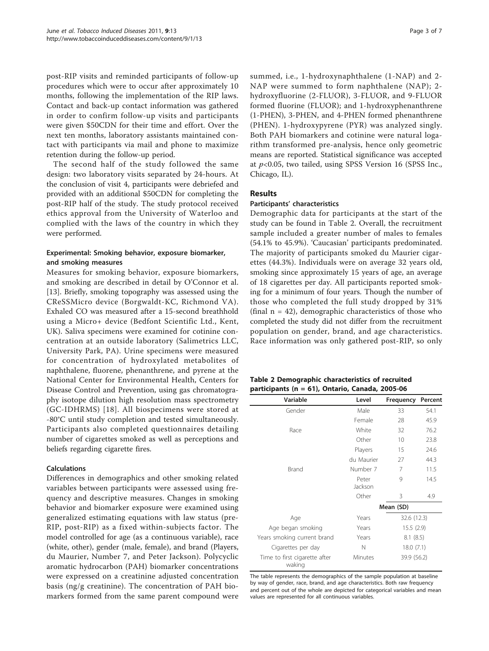post-RIP visits and reminded participants of follow-up procedures which were to occur after approximately 10 months, following the implementation of the RIP laws. Contact and back-up contact information was gathered in order to confirm follow-up visits and participants were given \$50CDN for their time and effort. Over the next ten months, laboratory assistants maintained contact with participants via mail and phone to maximize retention during the follow-up period.

The second half of the study followed the same design: two laboratory visits separated by 24-hours. At the conclusion of visit 4, participants were debriefed and provided with an additional \$50CDN for completing the post-RIP half of the study. The study protocol received ethics approval from the University of Waterloo and complied with the laws of the country in which they were performed.

# Experimental: Smoking behavior, exposure biomarker, and smoking measures

Measures for smoking behavior, exposure biomarkers, and smoking are described in detail by O'Connor et al. [[13\]](#page-6-0). Briefly, smoking topography was assessed using the CReSSMicro device (Borgwaldt-KC, Richmond VA). Exhaled CO was measured after a 15-second breathhold using a Micro+ device (Bedfont Scientific Ltd., Kent, UK). Saliva specimens were examined for cotinine concentration at an outside laboratory (Salimetrics LLC, University Park, PA). Urine specimens were measured for concentration of hydroxylated metabolites of naphthalene, fluorene, phenanthrene, and pyrene at the National Center for Environmental Health, Centers for Disease Control and Prevention, using gas chromatography isotope dilution high resolution mass spectrometry (GC-IDHRMS) [[18](#page-6-0)]. All biospecimens were stored at -80°C until study completion and tested simultaneously. Participants also completed questionnaires detailing number of cigarettes smoked as well as perceptions and beliefs regarding cigarette fires.

# Calculations

Differences in demographics and other smoking related variables between participants were assessed using frequency and descriptive measures. Changes in smoking behavior and biomarker exposure were examined using generalized estimating equations with law status (pre-RIP, post-RIP) as a fixed within-subjects factor. The model controlled for age (as a continuous variable), race (white, other), gender (male, female), and brand (Players, du Maurier, Number 7, and Peter Jackson). Polycyclic aromatic hydrocarbon (PAH) biomarker concentrations were expressed on a creatinine adjusted concentration basis (ng/g creatinine). The concentration of PAH biomarkers formed from the same parent compound were summed, i.e., 1-hydroxynaphthalene (1-NAP) and 2- NAP were summed to form naphthalene (NAP); 2 hydroxyfluorine (2-FLUOR), 3-FLUOR, and 9-FLUOR formed fluorine (FLUOR); and 1-hydroxyphenanthrene (1-PHEN), 3-PHEN, and 4-PHEN formed phenanthrene (PHEN). 1-hydroxypyrene (PYR) was analyzed singly. Both PAH biomarkers and cotinine were natural logarithm transformed pre-analysis, hence only geometric means are reported. Statistical significance was accepted at  $p<0.05$ , two tailed, using SPSS Version 16 (SPSS Inc., Chicago, IL).

# Results

# Participants' characteristics

Demographic data for participants at the start of the study can be found in Table 2. Overall, the recruitment sample included a greater number of males to females (54.1% to 45.9%). 'Caucasian' participants predominated. The majority of participants smoked du Maurier cigarettes (44.3%). Individuals were on average 32 years old, smoking since approximately 15 years of age, an average of 18 cigarettes per day. All participants reported smoking for a minimum of four years. Though the number of those who completed the full study dropped by 31% (final  $n = 42$ ), demographic characteristics of those who completed the study did not differ from the recruitment population on gender, brand, and age characteristics. Race information was only gathered post-RIP, so only

| Table 2 Demographic characteristics of recruited |
|--------------------------------------------------|
| participants (n = 61), Ontario, Canada, 2005-06  |

| Variable                                | Level            | Frequency   | Percent |
|-----------------------------------------|------------------|-------------|---------|
| Gender                                  | Male             | 33          | 54.1    |
|                                         | Female           | 28          | 45.9    |
| Race                                    | White            | 32          | 76.2    |
|                                         | Other            | 10          | 23.8    |
|                                         | Players          | 15          | 24.6    |
|                                         | du Maurier       | 27          | 44.3    |
| <b>Brand</b>                            | Number 7         | 7           | 11.5    |
|                                         | Peter<br>Jackson | 9           | 14.5    |
|                                         | Other            | 3           | 4.9     |
|                                         |                  | Mean (SD)   |         |
| Age                                     | Years            | 32.6 (12.3) |         |
| Age began smoking                       | Years            | 15.5(2.9)   |         |
| Years smoking current brand             | Years            | 8.1(8.5)    |         |
| Cigarettes per day                      | N                | 18.0(7.1)   |         |
| Time to first cigarette after<br>waking | Minutes          | 39.9 (56.2) |         |

The table represents the demographics of the sample population at baseline by way of gender, race, brand, and age characteristics. Both raw frequency and percent out of the whole are depicted for categorical variables and mean values are represented for all continuous variables.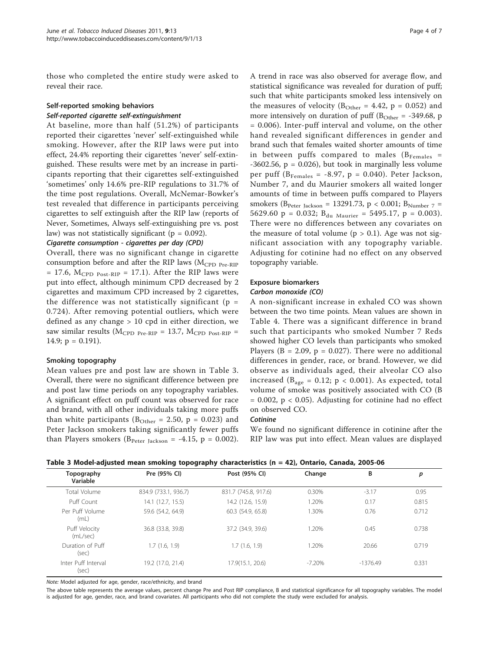those who completed the entire study were asked to reveal their race.

# Self-reported smoking behaviors Self-reported cigarette self-extinguishment

At baseline, more than half (51.2%) of participants reported their cigarettes 'never' self-extinguished while smoking. However, after the RIP laws were put into effect, 24.4% reporting their cigarettes 'never' self-extinguished. These results were met by an increase in participants reporting that their cigarettes self-extinguished 'sometimes' only 14.6% pre-RIP regulations to 31.7% of the time post regulations. Overall, McNemar-Bowker's test revealed that difference in participants perceiving cigarettes to self extinguish after the RIP law (reports of Never, Sometimes, Always self-extinguishing pre vs. post law) was not statistically significant ( $p = 0.092$ ).

# Cigarette consumption - cigarettes per day (CPD)

Overall, there was no significant change in cigarette consumption before and after the RIP laws ( $M_{\rm CPD\ Pre\text{-}RIP}$  $= 17.6$ ,  $M_{CPD\ Post-RIP} = 17.1$ . After the RIP laws were put into effect, although minimum CPD decreased by 2 cigarettes and maximum CPD increased by 2 cigarettes, the difference was not statistically significant ( $p =$ 0.724). After removing potential outliers, which were defined as any change > 10 cpd in either direction, we saw similar results ( $M_{CPD\ Pre-RIP}$  = 13.7,  $M_{CPD\ Post-RIP}$  = 14.9;  $p = 0.191$ ).

# Smoking topography

Mean values pre and post law are shown in Table 3. Overall, there were no significant difference between pre and post law time periods on any topography variables. A significant effect on puff count was observed for race and brand, with all other individuals taking more puffs than white participants ( $B_{\text{Other}} = 2.50$ ,  $p = 0.023$ ) and Peter Jackson smokers taking significantly fewer puffs than Players smokers ( $B_{\text{Peter Jackson}} = -4.15$ ,  $p = 0.002$ ).

A trend in race was also observed for average flow, and statistical significance was revealed for duration of puff; such that white participants smoked less intensively on the measures of velocity ( $B_{Other} = 4.42$ ,  $p = 0.052$ ) and more intensively on duration of puff ( $B_{\text{Other}} = -349.68$ , p = 0.006). Inter-puff interval and volume, on the other hand revealed significant differences in gender and brand such that females waited shorter amounts of time in between puffs compared to males ( $B_{\text{Females}}$  =  $-3602.56$ ,  $p = 0.026$ ), but took in marginally less volume per puff ( $B_{\text{Females}} = -8.97$ , p = 0.040). Peter Jackson, Number 7, and du Maurier smokers all waited longer amounts of time in between puffs compared to Players smokers ( $B_{\text{Peter Jackson}} = 13291.73$ ,  $p < 0.001$ ;  $B_{\text{Number 7}} =$ 5629.60  $p = 0.032$ ;  $B_{du \text{ Maurier}} = 5495.17$ ,  $p = 0.003$ ). There were no differences between any covariates on the measure of total volume ( $p > 0.1$ ). Age was not significant association with any topography variable. Adjusting for cotinine had no effect on any observed topography variable.

# Exposure biomarkers

## Carbon monoxide (CO)

A non-significant increase in exhaled CO was shown between the two time points. Mean values are shown in Table [4.](#page-4-0) There was a significant difference in brand such that participants who smoked Number 7 Reds showed higher CO levels than participants who smoked Players ( $B = 2.09$ ,  $p = 0.027$ ). There were no additional differences in gender, race, or brand. However, we did observe as individuals aged, their alveolar CO also increased ( $B_{\text{age}} = 0.12$ ;  $p < 0.001$ ). As expected, total volume of smoke was positively associated with CO (B  $= 0.002$ ,  $p < 0.05$ ). Adjusting for cotinine had no effect on observed CO.

# **Cotinine**

We found no significant difference in cotinine after the RIP law was put into effect. Mean values are displayed

|  | Table 3 Model-adjusted mean smoking topography characteristics (n = 42), Ontario, Canada, 2005-06 |
|--|---------------------------------------------------------------------------------------------------|
|--|---------------------------------------------------------------------------------------------------|

| Topography<br>Variable       | Pre (95% CI)         | Post (95% CI)        | Change   | B          | р     |
|------------------------------|----------------------|----------------------|----------|------------|-------|
| Total Volume                 | 834.9 (733.1, 936.7) | 831.7 (745.8, 917.6) | 0.30%    | $-3.17$    | 0.95  |
| Puff Count                   | 14.1 (12.7, 15.5)    | 14.2 (12.6, 15.9)    | 1.20%    | 0.17       | 0.815 |
| Per Puff Volume<br>(mL)      | 59.6 (54.2, 64.9)    | 60.3 (54.9, 65.8)    | 1.30%    | 0.76       | 0.712 |
| Puff Velocity<br>(mL/sec)    | 36.8 (33.8, 39.8)    | 37.2 (34.9, 39.6)    | 1.20%    | 0.45       | 0.738 |
| Duration of Puff<br>(sec)    | 1.7(1.6, 1.9)        | 1.7(1.6, 1.9)        | 1.20%    | 20.66      | 0.719 |
| Inter Puff Interval<br>(sec) | 19.2 (17.0, 21.4)    | 17.9(15.1, 20.6)     | $-7.20%$ | $-1376.49$ | 0.331 |

Note: Model adjusted for age, gender, race/ethnicity, and brand

The above table represents the average values, percent change Pre and Post RIP compliance, B and statistical significance for all topography variables. The model is adjusted for age, gender, race, and brand covariates. All participants who did not complete the study were excluded for analysis.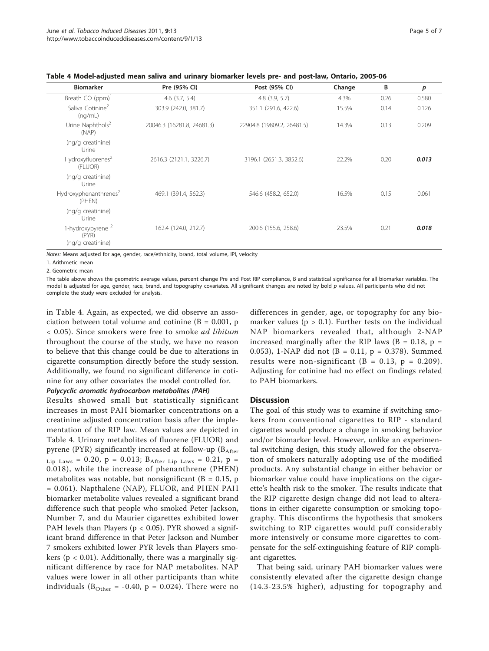<span id="page-4-0"></span>Table 4 Model-adjusted mean saliva and urinary biomarker levels pre- and post-law, Ontario, 2005-06

| <b>Biomarker</b>                            | Pre (95% CI)               | Post (95% CI)              | Change | B    | $\boldsymbol{p}$ |
|---------------------------------------------|----------------------------|----------------------------|--------|------|------------------|
| Breath CO (ppm)                             | $4.6$ $(3.7, 5.4)$         | $4.8$ $(3.9, 5.7)$         | 4.3%   | 0.26 | 0.580            |
| Saliva Cotinine <sup>2</sup><br>(nq/mL)     | 303.9 (242.0, 381.7)       | 351.1 (291.6, 422.6)       | 15.5%  | 0.14 | 0.126            |
| Urine Naphthols <sup>2</sup><br>(NAP)       | 20046.3 (16281.8, 24681.3) | 22904.8 (19809.2, 26481.5) | 14.3%  | 0.13 | 0.209            |
| (ng/g creatinine)<br>Urine                  |                            |                            |        |      |                  |
| Hydroxyfluorenes <sup>2</sup><br>(FLUOR)    | 2616.3 (2121.1, 3226.7)    | 3196.1 (2651.3, 3852.6)    | 22.2%  | 0.20 | 0.013            |
| (ng/g creatinine)<br>Urine                  |                            |                            |        |      |                  |
| Hydroxyphenanthrenes <sup>2</sup><br>(PHEN) | 469.1 (391.4, 562.3)       | 546.6 (458.2, 652.0)       | 16.5%  | 0.15 | 0.061            |
| (ng/g creatinine)<br>Urine                  |                            |                            |        |      |                  |
| 1-hydroxypyrene <sup>2</sup><br>(PYR)       | 162.4 (124.0, 212.7)       | 200.6 (155.6, 258.6)       | 23.5%  | 0.21 | 0.018            |
| (ng/g creatinine)                           |                            |                            |        |      |                  |

Notes: Means adjusted for age, gender, race/ethnicity, brand, total volume, IPI, velocity

1. Arithmetic mean

2. Geometric mean

The table above shows the geometric average values, percent change Pre and Post RIP compliance, B and statistical significance for all biomarker variables. The model is adjusted for age, gender, race, brand, and topography covariates. All significant changes are noted by bold p values. All participants who did not complete the study were excluded for analysis.

in Table 4. Again, as expected, we did observe an association between total volume and cotinine ( $B = 0.001$ , p < 0.05). Since smokers were free to smoke ad libitum throughout the course of the study, we have no reason to believe that this change could be due to alterations in cigarette consumption directly before the study session. Additionally, we found no significant difference in cotinine for any other covariates the model controlled for.

# Polycyclic aromatic hydrocarbon metabolites (PAH)

Results showed small but statistically significant increases in most PAH biomarker concentrations on a creatinine adjusted concentration basis after the implementation of the RIP law. Mean values are depicted in Table 4. Urinary metabolites of fluorene (FLUOR) and pyrene (PYR) significantly increased at follow-up ( $B_{After}$ ) Lip Laws = 0.20,  $p = 0.013$ ;  $B_{After Lip Laws} = 0.21$ ,  $p =$ 0.018), while the increase of phenanthrene (PHEN) metabolites was notable, but nonsignificant ( $B = 0.15$ , p = 0.061). Napthalene (NAP), FLUOR, and PHEN PAH biomarker metabolite values revealed a significant brand difference such that people who smoked Peter Jackson, Number 7, and du Maurier cigarettes exhibited lower PAH levels than Players ( $p < 0.05$ ). PYR showed a significant brand difference in that Peter Jackson and Number 7 smokers exhibited lower PYR levels than Players smokers ( $p < 0.01$ ). Additionally, there was a marginally significant difference by race for NAP metabolites. NAP values were lower in all other participants than white individuals ( $B_{\text{Other}} = -0.40$ ,  $p = 0.024$ ). There were no

differences in gender, age, or topography for any biomarker values ( $p > 0.1$ ). Further tests on the individual NAP biomarkers revealed that, although 2-NAP increased marginally after the RIP laws ( $B = 0.18$ ,  $p =$ 0.053), 1-NAP did not (B = 0.11, p = 0.378). Summed results were non-significant ( $B = 0.13$ ,  $p = 0.209$ ). Adjusting for cotinine had no effect on findings related to PAH biomarkers.

## **Discussion**

The goal of this study was to examine if switching smokers from conventional cigarettes to RIP - standard cigarettes would produce a change in smoking behavior and/or biomarker level. However, unlike an experimental switching design, this study allowed for the observation of smokers naturally adopting use of the modified products. Any substantial change in either behavior or biomarker value could have implications on the cigarette's health risk to the smoker. The results indicate that the RIP cigarette design change did not lead to alterations in either cigarette consumption or smoking topography. This disconfirms the hypothesis that smokers switching to RIP cigarettes would puff considerably more intensively or consume more cigarettes to compensate for the self-extinguishing feature of RIP compliant cigarettes.

That being said, urinary PAH biomarker values were consistently elevated after the cigarette design change (14.3-23.5% higher), adjusting for topography and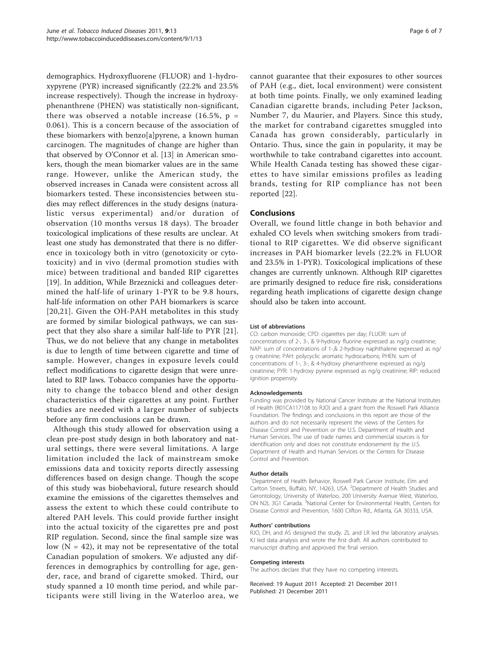demographics. Hydroxyfluorene (FLUOR) and 1-hydroxypyrene (PYR) increased significantly (22.2% and 23.5% increase respectively). Though the increase in hydroxyphenanthrene (PHEN) was statistically non-significant, there was observed a notable increase (16.5%,  $p =$ 0.061). This is a concern because of the association of these biomarkers with benzo[a]pyrene, a known human carcinogen. The magnitudes of change are higher than that observed by O'Connor et al. [\[13\]](#page-6-0) in American smokers, though the mean biomarker values are in the same range. However, unlike the American study, the observed increases in Canada were consistent across all biomarkers tested. These inconsistencies between studies may reflect differences in the study designs (naturalistic versus experimental) and/or duration of observation (10 months versus 18 days). The broader toxicological implications of these results are unclear. At least one study has demonstrated that there is no difference in toxicology both in vitro (genotoxicity or cytotoxicity) and in vivo (dermal promotion studies with mice) between traditional and banded RIP cigarettes [[19\]](#page-6-0). In addition, While Brzeznicki and colleagues determined the half-life of urinary 1-PYR to be 9.8 hours, half-life information on other PAH biomarkers is scarce [[20](#page-6-0),[21](#page-6-0)]. Given the OH-PAH metabolites in this study are formed by similar biological pathways, we can suspect that they also share a similar half-life to PYR [[21](#page-6-0)]. Thus, we do not believe that any change in metabolites is due to length of time between cigarette and time of sample. However, changes in exposure levels could reflect modifications to cigarette design that were unrelated to RIP laws. Tobacco companies have the opportunity to change the tobacco blend and other design characteristics of their cigarettes at any point. Further studies are needed with a larger number of subjects before any firm conclusions can be drawn.

Although this study allowed for observation using a clean pre-post study design in both laboratory and natural settings, there were several limitations. A large limitation included the lack of mainstream smoke emissions data and toxicity reports directly assessing differences based on design change. Though the scope of this study was biobehavioral, future research should examine the emissions of the cigarettes themselves and assess the extent to which these could contribute to altered PAH levels. This could provide further insight into the actual toxicity of the cigarettes pre and post RIP regulation. Second, since the final sample size was low  $(N = 42)$ , it may not be representative of the total Canadian population of smokers. We adjusted any differences in demographics by controlling for age, gender, race, and brand of cigarette smoked. Third, our study spanned a 10 month time period, and while participants were still living in the Waterloo area, we

cannot guarantee that their exposures to other sources of PAH (e.g., diet, local environment) were consistent at both time points. Finally, we only examined leading Canadian cigarette brands, including Peter Jackson, Number 7, du Maurier, and Players. Since this study, the market for contraband cigarettes smuggled into Canada has grown considerably, particularly in Ontario. Thus, since the gain in popularity, it may be worthwhile to take contraband cigarettes into account. While Health Canada testing has showed these cigarettes to have similar emissions profiles as leading brands, testing for RIP compliance has not been reported [[22\]](#page-6-0).

# Conclusions

Overall, we found little change in both behavior and exhaled CO levels when switching smokers from traditional to RIP cigarettes. We did observe significant increases in PAH biomarker levels (22.2% in FLUOR and 23.5% in 1-PYR). Toxicological implications of these changes are currently unknown. Although RIP cigarettes are primarily designed to reduce fire risk, considerations regarding heath implications of cigarette design change should also be taken into account.

#### List of abbreviations

CO: carbon monoxide; CPD: cigarettes per day; FLUOR: sum of concentrations of 2-, 3-, & 9-hydroxy fluorine expressed as ng/g creatinine; NAP: sum of concentrations of 1-,& 2-hydroxy naphthalene expressed as ng/ g creatinine; PAH: polycyclic aromatic hydrocarbons; PHEN: sum of concentrations of 1-, 3-, & 4-hydroxy phenanthrene expressed as ng/g creatinine; PYR: 1-hydroxy pyrene expressed as ng/g creatinine; RIP: reduced ignition propensity.

#### Acknowledgements

Funding was provided by National Cancer Institute at the National Institutes of Health (R01CA117108 to RJO) and a grant from the Roswell Park Alliance Foundation. The findings and conclusions in this report are those of the authors and do not necessarily represent the views of the Centers for Disease Control and Prevention or the U.S. Department of Health and Human Services. The use of trade names and commercial sources is for identification only and does not constitute endorsement by the U.S. Department of Health and Human Services or the Centers for Disease Control and Prevention.

#### Author details

<sup>1</sup>Department of Health Behavior, Roswell Park Cancer Institute, Elm and Carlton Streets, Buffalo, NY, 14263, USA. <sup>2</sup>Department of Health Studies and Gerontology, University of Waterloo, 200 University Avenue West, Waterloo, ON N2L 3G1 Canada. <sup>3</sup>National Center for Environmental Health, Centers for Disease Control and Prevention, 1600 Clifton Rd., Atlanta, GA 30333, USA.

#### Authors' contributions

RJO, DH, and AS designed the study. ZL and LR led the laboratory analyses. KJ led data analysis and wrote the first draft. All authors contributed to manuscript drafting and approved the final version.

#### Competing interests

The authors declare that they have no competing interests.

Received: 19 August 2011 Accepted: 21 December 2011 Published: 21 December 2011